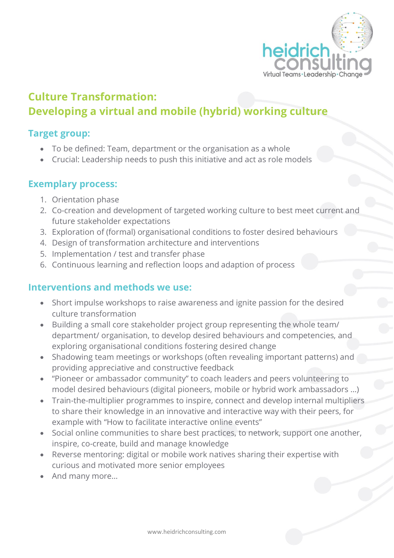

# **Culture Transformation: Developing a virtual and mobile (hybrid) working culture**

#### **Target group:**

- To be defined: Team, department or the organisation as a whole
- Crucial: Leadership needs to push this initiative and act as role models

## **Exemplary process:**

- 1. Orientation phase
- 2. Co-creation and development of targeted working culture to best meet current and future stakeholder expectations
- 3. Exploration of (formal) organisational conditions to foster desired behaviours
- 4. Design of transformation architecture and interventions
- 5. Implementation / test and transfer phase
- 6. Continuous learning and reflection loops and adaption of process

## **Interventions and methods we use:**

- Short impulse workshops to raise awareness and ignite passion for the desired culture transformation
- Building a small core stakeholder project group representing the whole team/ department/ organisation, to develop desired behaviours and competencies, and exploring organisational conditions fostering desired change
- Shadowing team meetings or workshops (often revealing important patterns) and providing appreciative and constructive feedback
- "Pioneer or ambassador community" to coach leaders and peers volunteering to model desired behaviours (digital pioneers, mobile or hybrid work ambassadors …)
- Train-the-multiplier programmes to inspire, connect and develop internal multipliers to share their knowledge in an innovative and interactive way with their peers, for example with "How to facilitate interactive online events"
- Social online communities to share best practices, to network, support one another, inspire, co-create, build and manage knowledge
- Reverse mentoring: digital or mobile work natives sharing their expertise with curious and motivated more senior employees
- And many more…